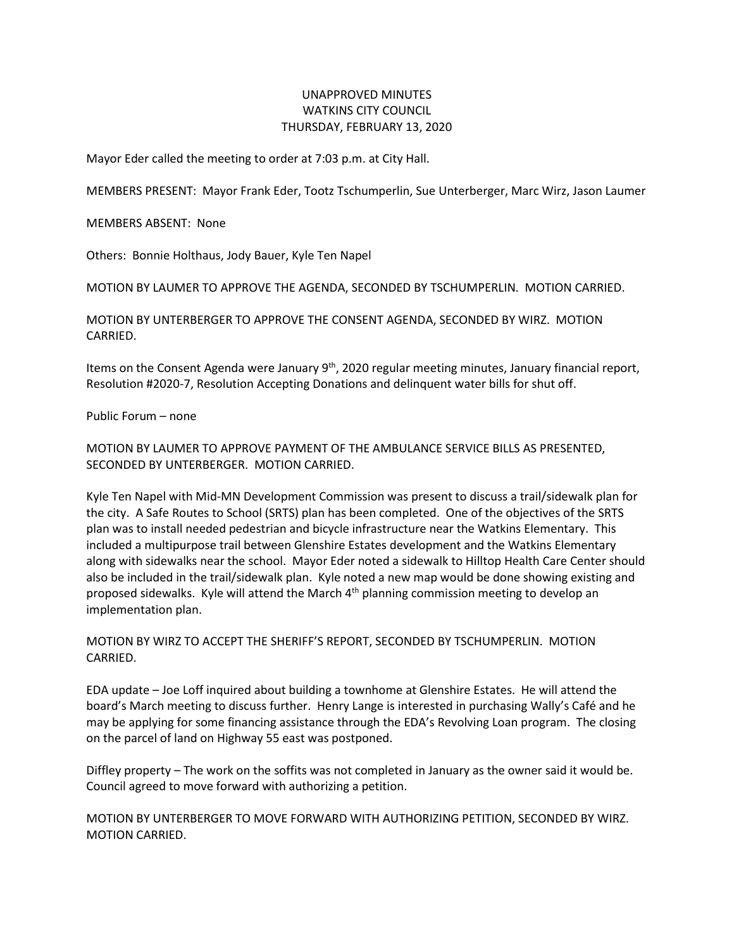## UNAPPROVED MINUTES WATKINS CITY COUNCIL THURSDAY, FEBRUARY 13, 2020

Mayor Eder called the meeting to order at 7:03 p.m. at City Hall.

MEMBERS PRESENT: Mayor Frank Eder, Tootz Tschumperlin, Sue Unterberger, Marc Wirz, Jason Laumer

MEMBERS ABSENT: None

Others: Bonnie Holthaus, Jody Bauer, Kyle Ten Napel

MOTION BY LAUMER TO APPROVE THE AGENDA, SECONDED BY TSCHUMPERLIN. MOTION CARRIED.

MOTION BY UNTERBERGER TO APPROVE THE CONSENT AGENDA, SECONDED BY WIRZ. MOTION CARRIED.

Items on the Consent Agenda were January  $9<sup>th</sup>$ , 2020 regular meeting minutes, January financial report, Resolution #2020-7, Resolution Accepting Donations and delinquent water bills for shut off.

Public Forum – none

MOTION BY LAUMER TO APPROVE PAYMENT OF THE AMBULANCE SERVICE BILLS AS PRESENTED, SECONDED BY UNTERBERGER. MOTION CARRIED.

Kyle Ten Napel with Mid-MN Development Commission was present to discuss a trail/sidewalk plan for the city. A Safe Routes to School (SRTS) plan has been completed. One of the objectives of the SRTS plan was to install needed pedestrian and bicycle infrastructure near the Watkins Elementary. This included a multipurpose trail between Glenshire Estates development and the Watkins Elementary along with sidewalks near the school. Mayor Eder noted a sidewalk to Hilltop Health Care Center should also be included in the trail/sidewalk plan. Kyle noted a new map would be done showing existing and proposed sidewalks. Kyle will attend the March 4<sup>th</sup> planning commission meeting to develop an implementation plan.

MOTION BY WIRZ TO ACCEPT THE SHERIFF'S REPORT, SECONDED BY TSCHUMPERLIN. MOTION CARRIED.

EDA update – Joe Loff inquired about building a townhome at Glenshire Estates. He will attend the board's March meeting to discuss further. Henry Lange is interested in purchasing Wally's Café and he may be applying for some financing assistance through the EDA's Revolving Loan program. The closing on the parcel of land on Highway 55 east was postponed.

Diffley property – The work on the soffits was not completed in January as the owner said it would be. Council agreed to move forward with authorizing a petition.

MOTION BY UNTERBERGER TO MOVE FORWARD WITH AUTHORIZING PETITION, SECONDED BY WIRZ. MOTION CARRIED.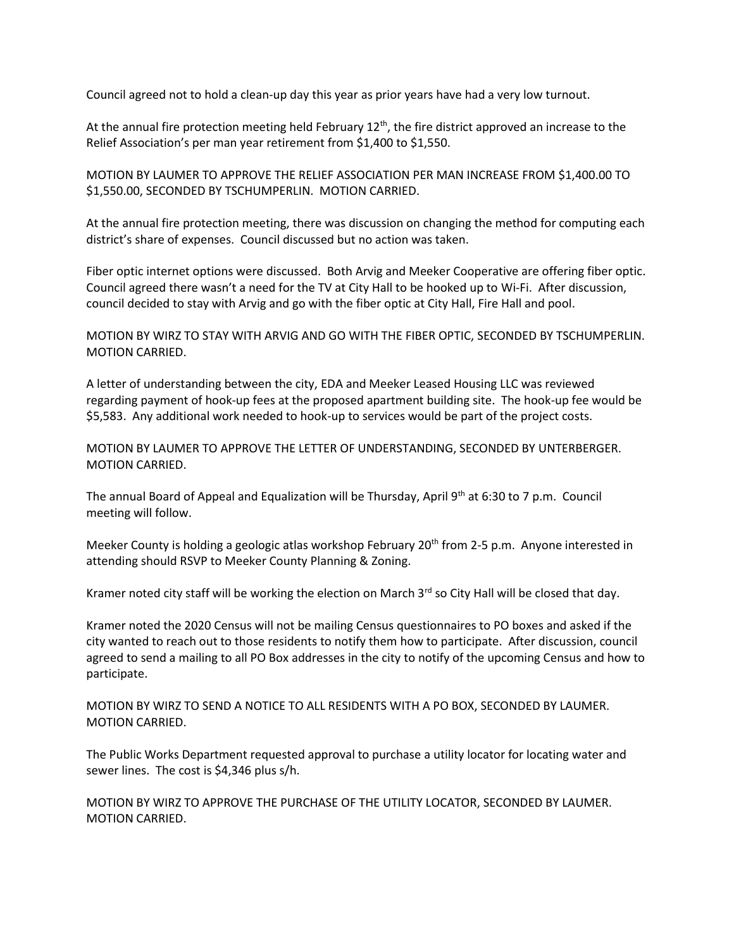Council agreed not to hold a clean-up day this year as prior years have had a very low turnout.

At the annual fire protection meeting held February  $12<sup>th</sup>$ , the fire district approved an increase to the Relief Association's per man year retirement from \$1,400 to \$1,550.

MOTION BY LAUMER TO APPROVE THE RELIEF ASSOCIATION PER MAN INCREASE FROM \$1,400.00 TO \$1,550.00, SECONDED BY TSCHUMPERLIN. MOTION CARRIED.

At the annual fire protection meeting, there was discussion on changing the method for computing each district's share of expenses. Council discussed but no action was taken.

Fiber optic internet options were discussed. Both Arvig and Meeker Cooperative are offering fiber optic. Council agreed there wasn't a need for the TV at City Hall to be hooked up to Wi-Fi. After discussion, council decided to stay with Arvig and go with the fiber optic at City Hall, Fire Hall and pool.

MOTION BY WIRZ TO STAY WITH ARVIG AND GO WITH THE FIBER OPTIC, SECONDED BY TSCHUMPERLIN. MOTION CARRIED.

A letter of understanding between the city, EDA and Meeker Leased Housing LLC was reviewed regarding payment of hook-up fees at the proposed apartment building site. The hook-up fee would be \$5,583. Any additional work needed to hook-up to services would be part of the project costs.

MOTION BY LAUMER TO APPROVE THE LETTER OF UNDERSTANDING, SECONDED BY UNTERBERGER. MOTION CARRIED.

The annual Board of Appeal and Equalization will be Thursday, April 9th at 6:30 to 7 p.m. Council meeting will follow.

Meeker County is holding a geologic atlas workshop February  $20<sup>th</sup>$  from 2-5 p.m. Anyone interested in attending should RSVP to Meeker County Planning & Zoning.

Kramer noted city staff will be working the election on March 3<sup>rd</sup> so City Hall will be closed that day.

Kramer noted the 2020 Census will not be mailing Census questionnaires to PO boxes and asked if the city wanted to reach out to those residents to notify them how to participate. After discussion, council agreed to send a mailing to all PO Box addresses in the city to notify of the upcoming Census and how to participate.

MOTION BY WIRZ TO SEND A NOTICE TO ALL RESIDENTS WITH A PO BOX, SECONDED BY LAUMER. MOTION CARRIED.

The Public Works Department requested approval to purchase a utility locator for locating water and sewer lines. The cost is \$4,346 plus s/h.

MOTION BY WIRZ TO APPROVE THE PURCHASE OF THE UTILITY LOCATOR, SECONDED BY LAUMER. MOTION CARRIED.